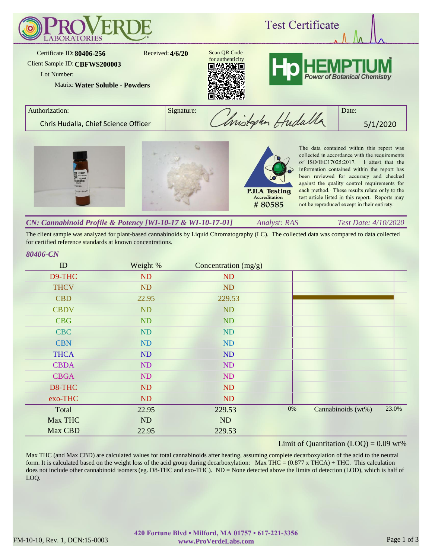

The client sample was analyzed for plant-based cannabinoids by Liquid Chromatography (LC). The collected data was compared to data collected for certified reference standards at known concentrations.

### *80406-CN*

| ID          | Weight %  | Concentration $(mg/g)$ |       |                    |       |
|-------------|-----------|------------------------|-------|--------------------|-------|
| D9-THC      | ND        | ND                     |       |                    |       |
| <b>THCV</b> | ND        | <b>ND</b>              |       |                    |       |
| <b>CBD</b>  | 22.95     | 229.53                 |       |                    |       |
| <b>CBDV</b> | ND        | ND                     |       |                    |       |
| <b>CBG</b>  | <b>ND</b> | <b>ND</b>              |       |                    |       |
| <b>CBC</b>  | ND        | ND                     |       |                    |       |
| <b>CBN</b>  | ND        | ND                     |       |                    |       |
| <b>THCA</b> | ND        | ND                     |       |                    |       |
| <b>CBDA</b> | ND        | ND                     |       |                    |       |
| <b>CBGA</b> | ND        | ND                     |       |                    |       |
| D8-THC      | ND        | <b>ND</b>              |       |                    |       |
| exo-THC     | ND        | <b>ND</b>              |       |                    |       |
| Total       | 22.95     | 229.53                 | $0\%$ | Cannabinoids (wt%) | 23.0% |
| Max THC     | ND        | ND                     |       |                    |       |
| Max CBD     | 22.95     | 229.53                 |       |                    |       |

# Limit of Quantitation  $(LOQ) = 0.09$  wt%

Max THC (and Max CBD) are calculated values for total cannabinoids after heating, assuming complete decarboxylation of the acid to the neutral form. It is calculated based on the weight loss of the acid group during decarboxylation: Max THC =  $(0.877 \times THCA) + THC$ . This calculation does not include other cannabinoid isomers (eg. D8-THC and exo-THC). ND = None detected above the limits of detection (LOD), which is half of LOQ.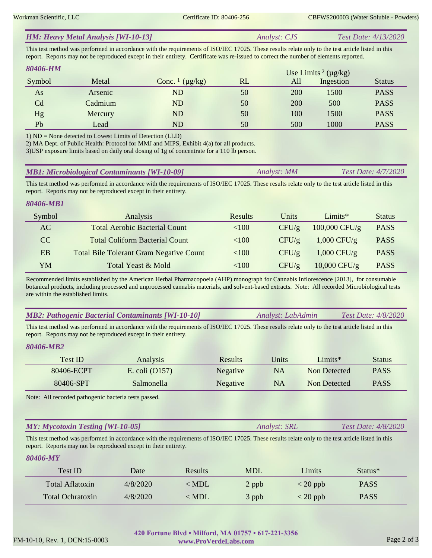| <b>HM: Heavy Metal Analysis [WI-10-13]</b> | <i>Analyst: CJS</i> | <i>Test Date: 4/13/2020</i> |
|--------------------------------------------|---------------------|-----------------------------|
|--------------------------------------------|---------------------|-----------------------------|

This test method was performed in accordance with the requirements of ISO/IEC 17025. These results relate only to the test article listed in this report. Reports may not be reproduced except in their entirety. Certificate was re-issued to correct the number of elements reported.

| 80406-HM       |         |                                     |    |     | Use Limits <sup>2</sup> ( $\mu$ g/kg) |               |
|----------------|---------|-------------------------------------|----|-----|---------------------------------------|---------------|
| Symbol         | Metal   | Conc. $\frac{1}{\mu}$ ( $\mu$ g/kg) | RL | All | Ingestion                             | <b>Status</b> |
| As             | Arsenic | ND                                  | 50 | 200 | 1500                                  | <b>PASS</b>   |
| C <sub>d</sub> | Cadmium | ND                                  | 50 | 200 | 500                                   | <b>PASS</b>   |
| Hg             | Mercury | ND                                  | 50 | 100 | 1500                                  | <b>PASS</b>   |
| Pb             | Lead    | ND                                  | 50 | 500 | 1000                                  | <b>PASS</b>   |

1) ND = None detected to Lowest Limits of Detection (LLD)

2) MA Dept. of Public Health: Protocol for MMJ and MIPS, Exhibit 4(a) for all products.

3)USP exposure limits based on daily oral dosing of 1g of concentrate for a 110 lb person.

| <b>MB1: Microbiological Contaminants [WI-10-09]</b><br><b>Test Date: 4/7/2020</b><br>Analyst: MM |
|--------------------------------------------------------------------------------------------------|
|--------------------------------------------------------------------------------------------------|

This test method was performed in accordance with the requirements of ISO/IEC 17025. These results relate only to the test article listed in this report. Reports may not be reproduced except in their entirety.

# *80406-MB1*

| Symbol | Analysis                                       | Results  | Units              | Limits $*$      | <b>Status</b> |
|--------|------------------------------------------------|----------|--------------------|-----------------|---------------|
| AC     | <b>Total Aerobic Bacterial Count</b>           | ${<}100$ | CFU/g              | $100,000$ CFU/g | <b>PASS</b>   |
| CC.    | <b>Total Coliform Bacterial Count</b>          | < 100    | $CFU/\g$           | $1,000$ CFU/g   | <b>PASS</b>   |
| EB     | <b>Total Bile Tolerant Gram Negative Count</b> | $<$ 100  | $CFU/\mathfrak{g}$ | $1,000$ CFU/g   | <b>PASS</b>   |
| YM     | Total Yeast & Mold                             | ${<}100$ | CFU/g              | $10,000$ CFU/g  | <b>PASS</b>   |

Recommended limits established by the American Herbal Pharmacopoeia (AHP) monograph for Cannabis Inflorescence [2013], for consumable botanical products, including processed and unprocessed cannabis materials, and solvent-based extracts. Note: All recorded Microbiological tests are within the established limits.

| <b>MB2: Pathogenic Bacterial Contaminants [WI-10-10]</b> | Analyst: LabAdmin | <i>Test Date: 4/8/2020</i> |
|----------------------------------------------------------|-------------------|----------------------------|
|----------------------------------------------------------|-------------------|----------------------------|

This test method was performed in accordance with the requirements of ISO/IEC 17025. These results relate only to the test article listed in this report. Reports may not be reproduced except in their entirety.

### *80406-MB2*

| Test ID    | <b>Analysis</b>  | Results         | Jnits | $Limits^*$   | <b>Status</b> |
|------------|------------------|-----------------|-------|--------------|---------------|
| 80406-ECPT | E. coli $(0157)$ | <b>Negative</b> | NA    | Non Detected | <b>PASS</b>   |
| 80406-SPT  | Salmonella       | Negative        | NA    | Non Detected | <b>PASS</b>   |

Note: All recorded pathogenic bacteria tests passed.

#### *Analyst: SRL Test Date: 4/8/2020 MY: Mycotoxin Testing [WI-10-05]*

This test method was performed in accordance with the requirements of ISO/IEC 17025. These results relate only to the test article listed in this report. Reports may not be reproduced except in their entirety.

### *80406-MY*

| Test ID                 | Date     | Results       | <b>MDL</b> | Limits                           | Status <sup>*</sup> |  |
|-------------------------|----------|---------------|------------|----------------------------------|---------------------|--|
| Total Aflatoxin         | 4/8/2020 | $\langle$ MDL | 2 ppb      | $\langle 20 \text{ ppb} \rangle$ | <b>PASS</b>         |  |
| <b>Total Ochratoxin</b> | 4/8/2020 | $<$ MDL       | 3 ppb      | $<$ 20 ppb                       | <b>PASS</b>         |  |